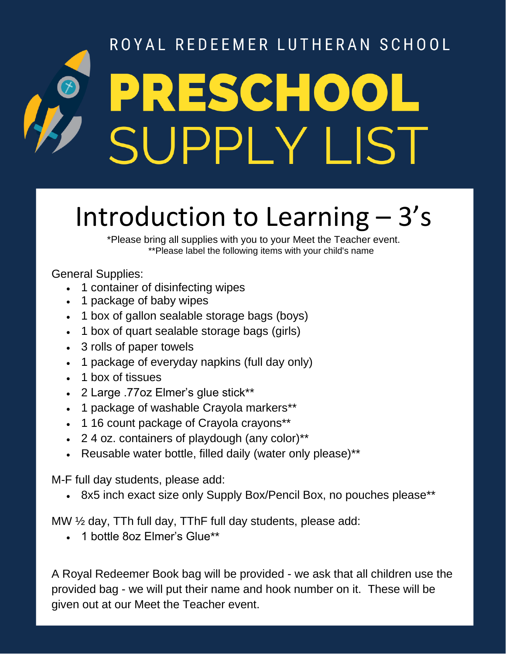## ROYAL REDEEMER LUTHERAN SCHOOL PRESCHOOL SUPPLY LIST

## Introduction to Learning – 3's

\*Please bring all supplies with you to your Meet the Teacher event. \*\*Please label the following items with your child's name

General Supplies:

- 1 container of disinfecting wipes
- 1 package of baby wipes
- 1 box of gallon sealable storage bags (boys)
- 1 box of quart sealable storage bags (girls)
- 3 rolls of paper towels
- 1 package of everyday napkins (full day only)
- 1 box of tissues
- 2 Large .77oz Elmer's glue stick\*\*
- 1 package of washable Crayola markers\*\*
- 1 16 count package of Crayola crayons\*\*
- 2 4 oz. containers of playdough (any color)\*\*
- Reusable water bottle, filled daily (water only please)\*\*

M-F full day students, please add:

• 8x5 inch exact size only Supply Box/Pencil Box, no pouches please\*\*

MW ½ day, TTh full day, TThF full day students, please add:

• 1 bottle 8oz Elmer's Glue\*\*

A Royal Redeemer Book bag will be provided - we ask that all children use the provided bag - we will put their name and hook number on it. These will be given out at our Meet the Teacher event.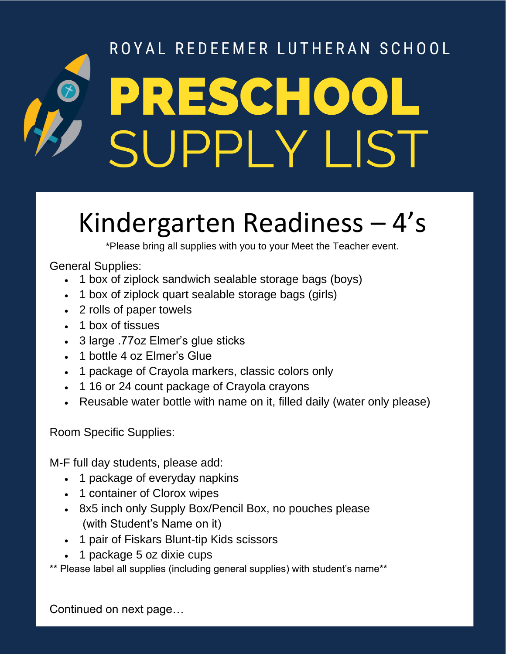# ROYAL REDEEMER LUTHERAN SCHOOL PRESCHOOL<br>SUPPLY LIST

## Kindergarten Readiness – 4's

\*Please bring all supplies with you to your Meet the Teacher event.

#### General Supplies:

- 1 box of ziplock sandwich sealable storage bags (boys)
- 1 box of ziplock quart sealable storage bags (girls)
- 2 rolls of paper towels
- 1 box of tissues
- 3 large .77oz Elmer's glue sticks
- 1 bottle 4 oz Elmer's Glue
- 1 package of Crayola markers, classic colors only
- 1 16 or 24 count package of Crayola crayons
- Reusable water bottle with name on it, filled daily (water only please)

Room Specific Supplies:

M-F full day students, please add:

- 1 package of everyday napkins
- 1 container of Clorox wipes
- 8x5 inch only Supply Box/Pencil Box, no pouches please (with Student's Name on it)
- 1 pair of Fiskars Blunt-tip Kids scissors
- 1 package 5 oz dixie cups

\*\* Please label all supplies (including general supplies) with student's name\*\*

Continued on next page…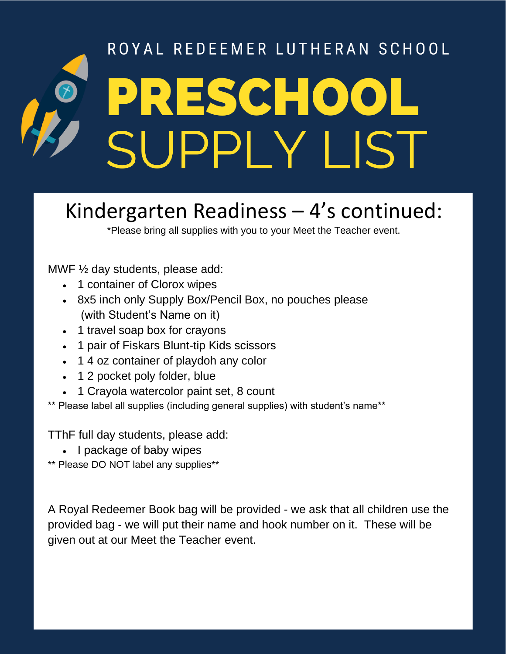## ROYAL REDEEMER LUTHERAN SCHOOL PRESCHOOL **SUPPLY LIST**

### Kindergarten Readiness – 4's continued:

\*Please bring all supplies with you to your Meet the Teacher event.

MWF ½ day students, please add:

- 1 container of Clorox wipes
- 8x5 inch only Supply Box/Pencil Box, no pouches please (with Student's Name on it)
- 1 travel soap box for crayons
- 1 pair of Fiskars Blunt-tip Kids scissors
- 1 4 oz container of playdoh any color
- 1 2 pocket poly folder, blue
- 1 Crayola watercolor paint set, 8 count

\*\* Please label all supplies (including general supplies) with student's name\*\*

TThF full day students, please add:

• I package of baby wipes

\*\* Please DO NOT label any supplies\*\*

A Royal Redeemer Book bag will be provided - we ask that all children use the provided bag - we will put their name and hook number on it. These will be given out at our Meet the Teacher event.